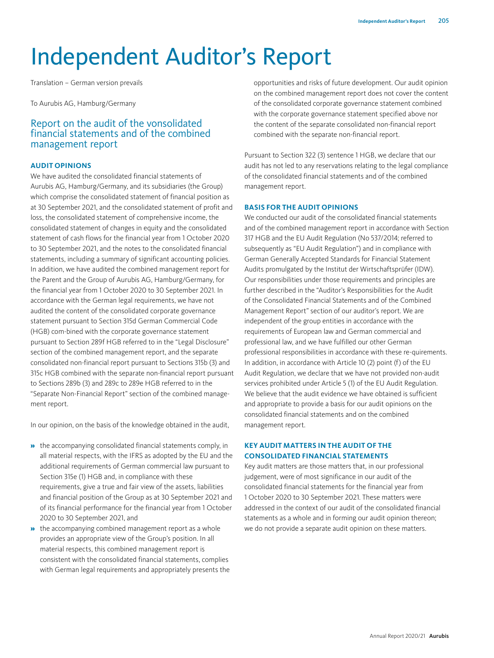# Independent Auditor's Report

Translation – German version prevails

To Aurubis AG, Hamburg/Germany

# Report on the audit of the vonsolidated financial statements and of the combined management report

#### **AUDIT OPINIONS**

We have audited the consolidated financial statements of Aurubis AG, Hamburg/Germany, and its subsidiaries (the Group) which comprise the consolidated statement of financial position as at 30 September 2021, and the consolidated statement of profit and loss, the consolidated statement of comprehensive income, the consolidated statement of changes in equity and the consolidated statement of cash flows for the financial year from 1 October 2020 to 30 September 2021, and the notes to the consolidated financial statements, including a summary of significant accounting policies. In addition, we have audited the combined management report for the Parent and the Group of Aurubis AG, Hamburg/Germany, for the financial year from 1 October 2020 to 30 September 2021. In accordance with the German legal requirements, we have not audited the content of the consolidated corporate governance statement pursuant to Section 315d German Commercial Code (HGB) com-bined with the corporate governance statement pursuant to Section 289f HGB referred to in the "Legal Disclosure" section of the combined management report, and the separate consolidated non-financial report pursuant to Sections 315b (3) and 315c HGB combined with the separate non-financial report pursuant to Sections 289b (3) and 289c to 289e HGB referred to in the "Separate Non-Financial Report" section of the combined management report.

In our opinion, on the basis of the knowledge obtained in the audit,

- » the accompanying consolidated financial statements comply, in all material respects, with the IFRS as adopted by the EU and the additional requirements of German commercial law pursuant to Section 315e (1) HGB and, in compliance with these requirements, give a true and fair view of the assets, liabilities and financial position of the Group as at 30 September 2021 and of its financial performance for the financial year from 1 October 2020 to 30 September 2021, and
- » the accompanying combined management report as a whole provides an appropriate view of the Group's position. In all material respects, this combined management report is consistent with the consolidated financial statements, complies with German legal requirements and appropriately presents the

opportunities and risks of future development. Our audit opinion on the combined management report does not cover the content of the consolidated corporate governance statement combined with the corporate governance statement specified above nor the content of the separate consolidated non-financial report combined with the separate non-financial report.

Pursuant to Section 322 (3) sentence 1 HGB, we declare that our audit has not led to any reservations relating to the legal compliance of the consolidated financial statements and of the combined management report.

#### **BASIS FOR THE AUDIT OPINIONS**

We conducted our audit of the consolidated financial statements and of the combined management report in accordance with Section 317 HGB and the EU Audit Regulation (No 537/2014; referred to subsequently as "EU Audit Regulation") and in compliance with German Generally Accepted Standards for Financial Statement Audits promulgated by the Institut der Wirtschaftsprüfer (IDW). Our responsibilities under those requirements and principles are further described in the "Auditor's Responsibilities for the Audit of the Consolidated Financial Statements and of the Combined Management Report" section of our auditor's report. We are independent of the group entities in accordance with the requirements of European law and German commercial and professional law, and we have fulfilled our other German professional responsibilities in accordance with these re-quirements. In addition, in accordance with Article 10 (2) point (f) of the EU Audit Regulation, we declare that we have not provided non-audit services prohibited under Article 5 (1) of the EU Audit Regulation. We believe that the audit evidence we have obtained is sufficient and appropriate to provide a basis for our audit opinions on the consolidated financial statements and on the combined management report.

## **KEY AUDIT MATTERS IN THE AUDIT OF THE CONSOLIDATED FINANCIAL STATEMENTS**

Key audit matters are those matters that, in our professional judgement, were of most significance in our audit of the consolidated financial statements for the financial year from 1 October 2020 to 30 September 2021. These matters were addressed in the context of our audit of the consolidated financial statements as a whole and in forming our audit opinion thereon; we do not provide a separate audit opinion on these matters.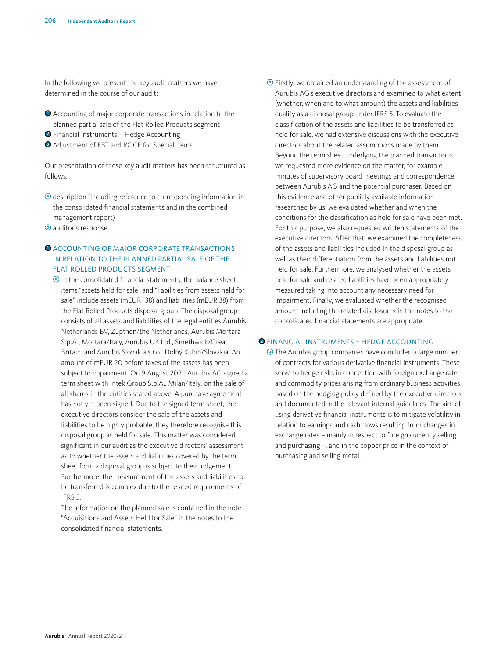In the following we present the key audit matters we have determined in the course of our audit:

- <sup>1</sup> Accounting of major corporate transactions in relation to the planned partial sale of the Flat Rolled Products segment
- <sup>2</sup> Financial Instruments Hedge Accounting
- <sup>3</sup> Adjustment of EBT and ROCE for Special Items

Our presentation of these key audit matters has been structured as follows:

- <sup>a</sup> description (including reference to corresponding information in the consolidated financial statements and in the combined management report)
- <sup>b</sup> auditor's response

## $\bullet$  **ACCOUNTING OF MAJOR CORPORATE TRANSACTIONS** IN RELATION TO THE PLANNED PARTIAL SALE OF THE FLAT ROLLED PRODUCTS SEGMENT

<sup>a</sup> In the consolidated financial statements, the balance sheet items "assets held for sale" and "liabilities from assets held for sale" include assets (mEUR 138) and liabilities (mEUR 38) from the Flat Rolled Products disposal group. The disposal group consists of all assets and liabilities of the legal entities Aurubis Netherlands BV, Zupthen/the Netherlands, Aurubis Mortara S.p.A., Mortara/Italy, Aurubis UK Ltd., Smethwick/Great Britain, and Aurubis Slovakia s.r.o., Dolný Kubín/Slovakia. An amount of mEUR 20 before taxes of the assets has been subject to impairment. On 9 August 2021, Aurubis AG signed a term sheet with Intek Group S.p.A., Milan/Italy, on the sale of all shares in the entities stated above. A purchase agreement has not yet been signed. Due to the signed term sheet, the executive directors consider the sale of the assets and liabilities to be highly probable; they therefore recognise this disposal group as held for sale. This matter was considered significant in our audit as the executive directors' assessment as to whether the assets and liabilities covered by the term sheet form a disposal group is subject to their judgement. Furthermore, the measurement of the assets and liabilities to be transferred is complex due to the related requirements of IFRS 5.

The information on the planned sale is contained in the note "Acquisitions and Assets Held for Sale" in the notes to the consolidated financial statements.

<sup>b</sup> Firstly, we obtained an understanding of the assessment of Aurubis AG's executive directors and examined to what extent (whether, when and to what amount) the assets and liabilities qualify as a disposal group under IFRS 5. To evaluate the classification of the assets and liabilities to be transferred as held for sale, we had extensive discussions with the executive directors about the related assumptions made by them. Beyond the term sheet underlying the planned transactions, we requested more evidence on the matter, for example minutes of supervisory board meetings and correspondence between Aurubis AG and the potential purchaser. Based on this evidence and other publicly available information researched by us, we evaluated whether and when the conditions for the classification as held for sale have been met. For this purpose, we also requested written statements of the executive directors. After that, we examined the completeness of the assets and liabilities included in the disposal group as well as their differentiation from the assets and liabilities not held for sale. Furthermore, we analysed whether the assets held for sale and related liabilities have been appropriately measured taking into account any necessary need for impairment. Finally, we evaluated whether the recognised amount including the related disclosures in the notes to the consolidated financial statements are appropriate.

#### <sup>2</sup> FINANCIAL INSTRUMENTS – HEDGE ACCOUNTING

<sup>a</sup> The Aurubis group companies have concluded a large number of contracts for various derivative financial instruments. These serve to hedge risks in connection with foreign exchange rate and commodity prices arising from ordinary business activities based on the hedging policy defined by the executive directors and documented in the relevant internal guidelines. The aim of using derivative financial instruments is to mitigate volatility in relation to earnings and cash flows resulting from changes in exchange rates – mainly in respect to foreign currency selling and purchasing –, and in the copper price in the context of purchasing and selling metal.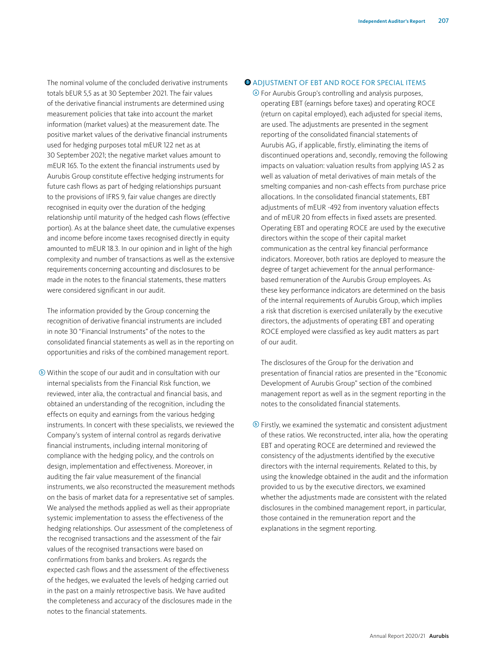The nominal volume of the concluded derivative instruments totals bEUR 5,5 as at 30 September 2021. The fair values of the derivative financial instruments are determined using measurement policies that take into account the market information (market values) at the measurement date. The positive market values of the derivative financial instruments used for hedging purposes total mEUR 122 net as at 30 September 2021; the negative market values amount to mEUR 165. To the extent the financial instruments used by Aurubis Group constitute effective hedging instruments for future cash flows as part of hedging relationships pursuant to the provisions of IFRS 9, fair value changes are directly recognised in equity over the duration of the hedging relationship until maturity of the hedged cash flows (effective portion). As at the balance sheet date, the cumulative expenses and income before income taxes recognised directly in equity amounted to mEUR 18.3. In our opinion and in light of the high complexity and number of transactions as well as the extensive requirements concerning accounting and disclosures to be made in the notes to the financial statements, these matters were considered significant in our audit.

The information provided by the Group concerning the recognition of derivative financial instruments are included in note 30 "Financial Instruments" of the notes to the consolidated financial statements as well as in the reporting on opportunities and risks of the combined management report.

 $\odot$  Within the scope of our audit and in consultation with our internal specialists from the Financial Risk function, we reviewed, inter alia, the contractual and financial basis, and obtained an understanding of the recognition, including the effects on equity and earnings from the various hedging instruments. In concert with these specialists, we reviewed the Company's system of internal control as regards derivative financial instruments, including internal monitoring of compliance with the hedging policy, and the controls on design, implementation and effectiveness. Moreover, in auditing the fair value measurement of the financial instruments, we also reconstructed the measurement methods on the basis of market data for a representative set of samples. We analysed the methods applied as well as their appropriate systemic implementation to assess the effectiveness of the hedging relationships. Our assessment of the completeness of the recognised transactions and the assessment of the fair values of the recognised transactions were based on confirmations from banks and brokers. As regards the expected cash flows and the assessment of the effectiveness of the hedges, we evaluated the levels of hedging carried out in the past on a mainly retrospective basis. We have audited the completeness and accuracy of the disclosures made in the notes to the financial statements.

#### **EXAMPLE AND ROCE FOR SPECIAL ITEMS**

<sup>a</sup> For Aurubis Group's controlling and analysis purposes, operating EBT (earnings before taxes) and operating ROCE (return on capital employed), each adjusted for special items, are used. The adjustments are presented in the segment reporting of the consolidated financial statements of Aurubis AG, if applicable, firstly, eliminating the items of discontinued operations and, secondly, removing the following impacts on valuation: valuation results from applying IAS 2 as well as valuation of metal derivatives of main metals of the smelting companies and non-cash effects from purchase price allocations. In the consolidated financial statements, EBT adjustments of mEUR -492 from inventory valuation effects and of mEUR 20 from effects in fixed assets are presented. Operating EBT and operating ROCE are used by the executive directors within the scope of their capital market communication as the central key financial performance indicators. Moreover, both ratios are deployed to measure the degree of target achievement for the annual performancebased remuneration of the Aurubis Group employees. As these key performance indicators are determined on the basis of the internal requirements of Aurubis Group, which implies a risk that discretion is exercised unilaterally by the executive directors, the adjustments of operating EBT and operating ROCE employed were classified as key audit matters as part of our audit.

The disclosures of the Group for the derivation and presentation of financial ratios are presented in the "Economic Development of Aurubis Group" section of the combined management report as well as in the segment reporting in the notes to the consolidated financial statements.

<sup>b</sup> Firstly, we examined the systematic and consistent adjustment of these ratios. We reconstructed, inter alia, how the operating EBT and operating ROCE are determined and reviewed the consistency of the adjustments identified by the executive directors with the internal requirements. Related to this, by using the knowledge obtained in the audit and the information provided to us by the executive directors, we examined whether the adjustments made are consistent with the related disclosures in the combined management report, in particular, those contained in the remuneration report and the explanations in the segment reporting.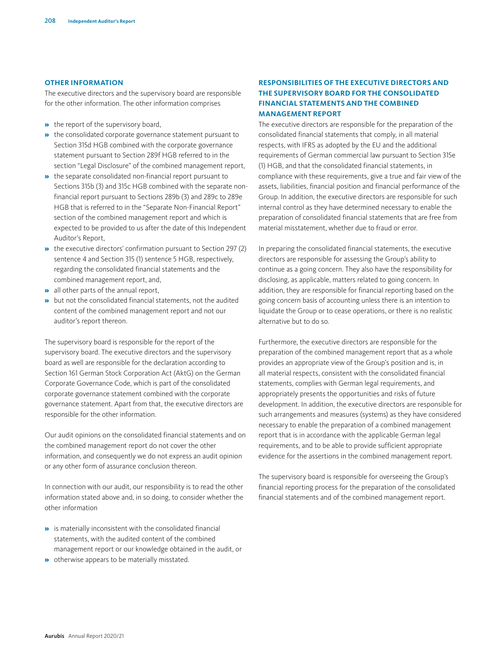#### **OTHER INFORMATION**

The executive directors and the supervisory board are responsible for the other information. The other information comprises

- **»** the report of the supervisory board,
- » the consolidated corporate governance statement pursuant to Section 315d HGB combined with the corporate governance statement pursuant to Section 289f HGB referred to in the section "Legal Disclosure" of the combined management report,
- » the separate consolidated non-financial report pursuant to Sections 315b (3) and 315c HGB combined with the separate nonfinancial report pursuant to Sections 289b (3) and 289c to 289e HGB that is referred to in the "Separate Non-Financial Report" section of the combined management report and which is expected to be provided to us after the date of this Independent Auditor's Report,
- » the executive directors' confirmation pursuant to Section 297 (2) sentence 4 and Section 315 (1) sentence 5 HGB, respectively, regarding the consolidated financial statements and the combined management report, and,
- » all other parts of the annual report,
- » but not the consolidated financial statements, not the audited content of the combined management report and not our auditor's report thereon.

The supervisory board is responsible for the report of the supervisory board. The executive directors and the supervisory board as well are responsible for the declaration according to Section 161 German Stock Corporation Act (AktG) on the German Corporate Governance Code, which is part of the consolidated corporate governance statement combined with the corporate governance statement. Apart from that, the executive directors are responsible for the other information.

Our audit opinions on the consolidated financial statements and on the combined management report do not cover the other information, and consequently we do not express an audit opinion or any other form of assurance conclusion thereon.

In connection with our audit, our responsibility is to read the other information stated above and, in so doing, to consider whether the other information

- » is materially inconsistent with the consolidated financial statements, with the audited content of the combined management report or our knowledge obtained in the audit, or
- » otherwise appears to be materially misstated.

## **RESPONSIBILITIES OF THE EXECUTIVE DIRECTORS AND THE SUPERVISORY BOARD FOR THE CONSOLIDATED FINANCIAL STATEMENTS AND THE COMBINED MANAGEMENT REPORT**

The executive directors are responsible for the preparation of the consolidated financial statements that comply, in all material respects, with IFRS as adopted by the EU and the additional requirements of German commercial law pursuant to Section 315e (1) HGB, and that the consolidated financial statements, in compliance with these requirements, give a true and fair view of the assets, liabilities, financial position and financial performance of the Group. In addition, the executive directors are responsible for such internal control as they have determined necessary to enable the preparation of consolidated financial statements that are free from material misstatement, whether due to fraud or error.

In preparing the consolidated financial statements, the executive directors are responsible for assessing the Group's ability to continue as a going concern. They also have the responsibility for disclosing, as applicable, matters related to going concern. In addition, they are responsible for financial reporting based on the going concern basis of accounting unless there is an intention to liquidate the Group or to cease operations, or there is no realistic alternative but to do so.

Furthermore, the executive directors are responsible for the preparation of the combined management report that as a whole provides an appropriate view of the Group's position and is, in all material respects, consistent with the consolidated financial statements, complies with German legal requirements, and appropriately presents the opportunities and risks of future development. In addition, the executive directors are responsible for such arrangements and measures (systems) as they have considered necessary to enable the preparation of a combined management report that is in accordance with the applicable German legal requirements, and to be able to provide sufficient appropriate evidence for the assertions in the combined management report.

The supervisory board is responsible for overseeing the Group's financial reporting process for the preparation of the consolidated financial statements and of the combined management report.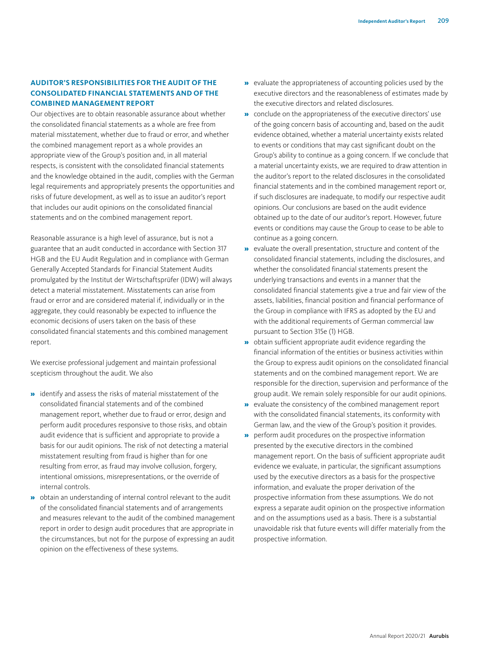## **AUDITOR'S RESPONSIBILITIES FOR THE AUDIT OF THE CONSOLIDATED FINANCIAL STATEMENTS AND OF THE COMBINED MANAGEMENT REPORT**

Our objectives are to obtain reasonable assurance about whether the consolidated financial statements as a whole are free from material misstatement, whether due to fraud or error, and whether the combined management report as a whole provides an appropriate view of the Group's position and, in all material respects, is consistent with the consolidated financial statements and the knowledge obtained in the audit, complies with the German legal requirements and appropriately presents the opportunities and risks of future development, as well as to issue an auditor's report that includes our audit opinions on the consolidated financial statements and on the combined management report.

Reasonable assurance is a high level of assurance, but is not a guarantee that an audit conducted in accordance with Section 317 HGB and the EU Audit Regulation and in compliance with German Generally Accepted Standards for Financial Statement Audits promulgated by the Institut der Wirtschaftsprüfer (IDW) will always detect a material misstatement. Misstatements can arise from fraud or error and are considered material if, individually or in the aggregate, they could reasonably be expected to influence the economic decisions of users taken on the basis of these consolidated financial statements and this combined management report.

We exercise professional judgement and maintain professional scepticism throughout the audit. We also

- » identify and assess the risks of material misstatement of the consolidated financial statements and of the combined management report, whether due to fraud or error, design and perform audit procedures responsive to those risks, and obtain audit evidence that is sufficient and appropriate to provide a basis for our audit opinions. The risk of not detecting a material misstatement resulting from fraud is higher than for one resulting from error, as fraud may involve collusion, forgery, intentional omissions, misrepresentations, or the override of internal controls.
- » obtain an understanding of internal control relevant to the audit of the consolidated financial statements and of arrangements and measures relevant to the audit of the combined management report in order to design audit procedures that are appropriate in the circumstances, but not for the purpose of expressing an audit opinion on the effectiveness of these systems.
- » evaluate the appropriateness of accounting policies used by the executive directors and the reasonableness of estimates made by the executive directors and related disclosures.
- » conclude on the appropriateness of the executive directors' use of the going concern basis of accounting and, based on the audit evidence obtained, whether a material uncertainty exists related to events or conditions that may cast significant doubt on the Group's ability to continue as a going concern. If we conclude that a material uncertainty exists, we are required to draw attention in the auditor's report to the related disclosures in the consolidated financial statements and in the combined management report or, if such disclosures are inadequate, to modify our respective audit opinions. Our conclusions are based on the audit evidence obtained up to the date of our auditor's report. However, future events or conditions may cause the Group to cease to be able to continue as a going concern.
- » evaluate the overall presentation, structure and content of the consolidated financial statements, including the disclosures, and whether the consolidated financial statements present the underlying transactions and events in a manner that the consolidated financial statements give a true and fair view of the assets, liabilities, financial position and financial performance of the Group in compliance with IFRS as adopted by the EU and with the additional requirements of German commercial law pursuant to Section 315e (1) HGB.
- » obtain sufficient appropriate audit evidence regarding the financial information of the entities or business activities within the Group to express audit opinions on the consolidated financial statements and on the combined management report. We are responsible for the direction, supervision and performance of the group audit. We remain solely responsible for our audit opinions.
- » evaluate the consistency of the combined management report with the consolidated financial statements, its conformity with German law, and the view of the Group's position it provides.
- » perform audit procedures on the prospective information presented by the executive directors in the combined management report. On the basis of sufficient appropriate audit evidence we evaluate, in particular, the significant assumptions used by the executive directors as a basis for the prospective information, and evaluate the proper derivation of the prospective information from these assumptions. We do not express a separate audit opinion on the prospective information and on the assumptions used as a basis. There is a substantial unavoidable risk that future events will differ materially from the prospective information.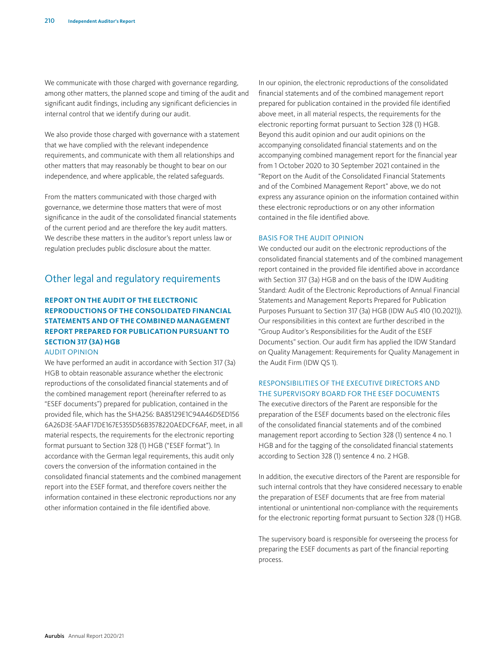We communicate with those charged with governance regarding, among other matters, the planned scope and timing of the audit and significant audit findings, including any significant deficiencies in internal control that we identify during our audit.

We also provide those charged with governance with a statement that we have complied with the relevant independence requirements, and communicate with them all relationships and other matters that may reasonably be thought to bear on our independence, and where applicable, the related safeguards.

From the matters communicated with those charged with governance, we determine those matters that were of most significance in the audit of the consolidated financial statements of the current period and are therefore the key audit matters. We describe these matters in the auditor's report unless law or regulation precludes public disclosure about the matter.

# Other legal and regulatory requirements

# **REPORT ON THE AUDIT OF THE ELECTRONIC REPRODUCTIONS OF THE CONSOLIDATED FINANCIAL STATEMENTS AND OF THE COMBINED MANAGEMENT REPORT PREPARED FOR PUBLICATION PURSUANT TO SECTION 317 (3A) HGB**

#### AUDIT OPINION

We have performed an audit in accordance with Section 317 (3a) HGB to obtain reasonable assurance whether the electronic reproductions of the consolidated financial statements and of the combined management report (hereinafter referred to as "ESEF documents") prepared for publication, contained in the provided file, which has the SHA256: BA85129E1C94A46D5ED156 6A26D3E-5AAF17DE167E5355D56B3578220AEDCF6AF, meet, in all material respects, the requirements for the electronic reporting format pursuant to Section 328 (1) HGB ("ESEF format"). In accordance with the German legal requirements, this audit only covers the conversion of the information contained in the consolidated financial statements and the combined management report into the ESEF format, and therefore covers neither the information contained in these electronic reproductions nor any other information contained in the file identified above.

In our opinion, the electronic reproductions of the consolidated financial statements and of the combined management report prepared for publication contained in the provided file identified above meet, in all material respects, the requirements for the electronic reporting format pursuant to Section 328 (1) HGB. Beyond this audit opinion and our audit opinions on the accompanying consolidated financial statements and on the accompanying combined management report for the financial year from 1 October 2020 to 30 September 2021 contained in the "Report on the Audit of the Consolidated Financial Statements and of the Combined Management Report" above, we do not express any assurance opinion on the information contained within these electronic reproductions or on any other information contained in the file identified above.

#### BASIS FOR THE AUDIT OPINION

We conducted our audit on the electronic reproductions of the consolidated financial statements and of the combined management report contained in the provided file identified above in accordance with Section 317 (3a) HGB and on the basis of the IDW Auditing Standard: Audit of the Electronic Reproductions of Annual Financial Statements and Management Reports Prepared for Publication Purposes Pursuant to Section 317 (3a) HGB (IDW AuS 410 (10.2021)). Our responsibilities in this context are further described in the "Group Auditor's Responsibilities for the Audit of the ESEF Documents" section. Our audit firm has applied the IDW Standard on Quality Management: Requirements for Quality Management in the Audit Firm (IDW QS 1).

## RESPONSIBILITIES OF THE EXECUTIVE DIRECTORS AND THE SUPERVISORY BOARD FOR THE ESEF DOCUMENTS

The executive directors of the Parent are responsible for the preparation of the ESEF documents based on the electronic files of the consolidated financial statements and of the combined management report according to Section 328 (1) sentence 4 no. 1 HGB and for the tagging of the consolidated financial statements according to Section 328 (1) sentence 4 no. 2 HGB.

In addition, the executive directors of the Parent are responsible for such internal controls that they have considered necessary to enable the preparation of ESEF documents that are free from material intentional or unintentional non-compliance with the requirements for the electronic reporting format pursuant to Section 328 (1) HGB.

The supervisory board is responsible for overseeing the process for preparing the ESEF documents as part of the financial reporting process.